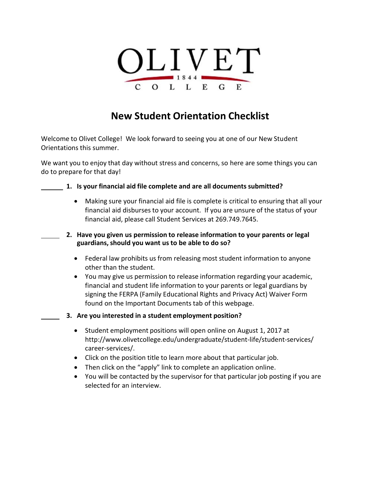

# **New Student Orientation Checklist**

Welcome to Olivet College! We look forward to seeing you at one of our New Student Orientations this summer.

We want you to enjoy that day without stress and concerns, so here are some things you can do to prepare for that day!

#### **1. Is your financial aid file complete and are all documents submitted?**

- Making sure your financial aid file is complete is critical to ensuring that all your financial aid disburses to your account. If you are unsure of the status of your financial aid, please call Student Services at 269.749.7645.
- **2. Have you given us permission to release information to your parents or legal guardians,should you want us to be able to do so?**
	- Federal law prohibits us from releasing most student information to anyone other than the student.
	- You may give us permission to release information regarding your academic, financial and student life information to your parents or legal guardians by signing the FERPA (Family Educational Rights and Privacy Act) Waiver Form found on the Important Documents tab of this webpage.
- **3. Are you interested in a student employment position?**
	- Student employment positions will open online on August 1, 2017 at [http://www.olivetcollege.edu/undergraduate/student-life/student-services/](http://www.olivetcollege.edu/undergraduate/student-life/student-services/career-services/) [career-services/.](http://www.olivetcollege.edu/undergraduate/student-life/student-services/career-services/)
	- Click on the position title to learn more about that particular job.
	- Then click on the "apply" link to complete an application online.
	- You will be contacted by the supervisor for that particular job posting if you are selected for an interview.